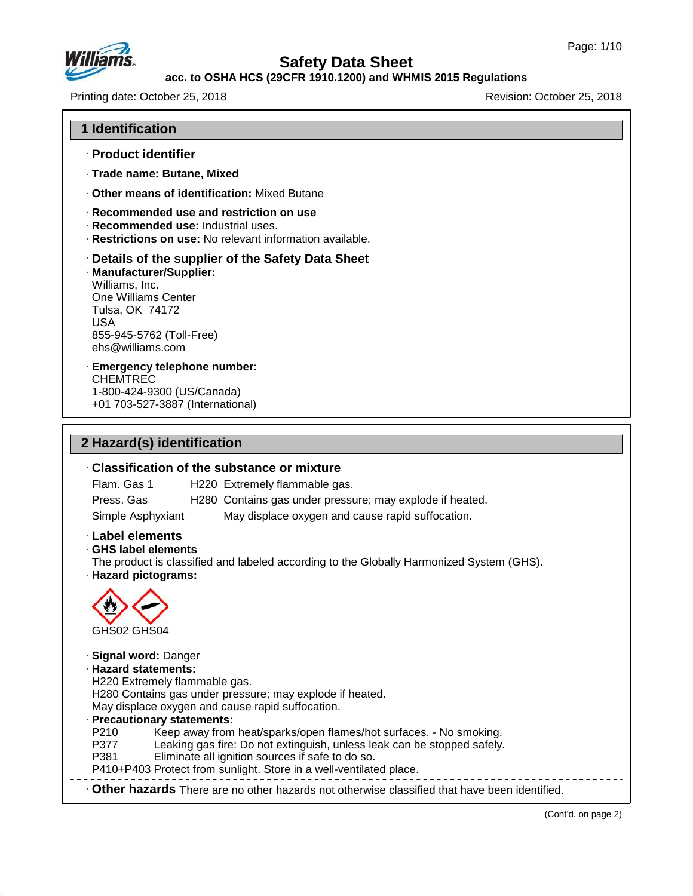

## **acc. to OSHA HCS (29CFR 1910.1200) and WHMIS 2015 Regulations**

Printing date: October 25, 2018 Revision: October 25, 2018

#### **1 Identification**

- · **Product identifier**
- · **Trade name: Butane, Mixed**
- · **Other means of identification:** Mixed Butane
- · **Recommended use and restriction on use**
- · **Recommended use:** Industrial uses.
- · **Restrictions on use:** No relevant information available.

#### · **Details of the supplier of the Safety Data Sheet**

· **Manufacturer/Supplier:** Williams, Inc. One Williams Center Tulsa, OK 74172 USA 855-945-5762 (Toll-Free) ehs@williams.com

#### · **Emergency telephone number:** CHEMTREC 1-800-424-9300 (US/Canada)

+01 703-527-3887 (International)

# **2 Hazard(s) identification**

48.0

# · **Classification of the substance or mixture** Flam. Gas 1 H220 Extremely flammable gas. Press. Gas H280 Contains gas under pressure; may explode if heated. Simple Asphyxiant May displace oxygen and cause rapid suffocation. · **Label elements** · **GHS label elements** The product is classified and labeled according to the Globally Harmonized System (GHS). · **Hazard pictograms:** GHS02 GHS04 · **Signal word:** Danger · **Hazard statements:** H220 Extremely flammable gas. H280 Contains gas under pressure; may explode if heated. May displace oxygen and cause rapid suffocation. **Precautionary statements:**<br>P210 Keep away from P210 Keep away from heat/sparks/open flames/hot surfaces. - No smoking. Leaking gas fire: Do not extinguish, unless leak can be stopped safely. P381 Eliminate all ignition sources if safe to do so. P410+P403 Protect from sunlight. Store in a well-ventilated place. · **Other hazards** There are no other hazards nototherwise classified that have been identified.

(Cont'd. on page 2)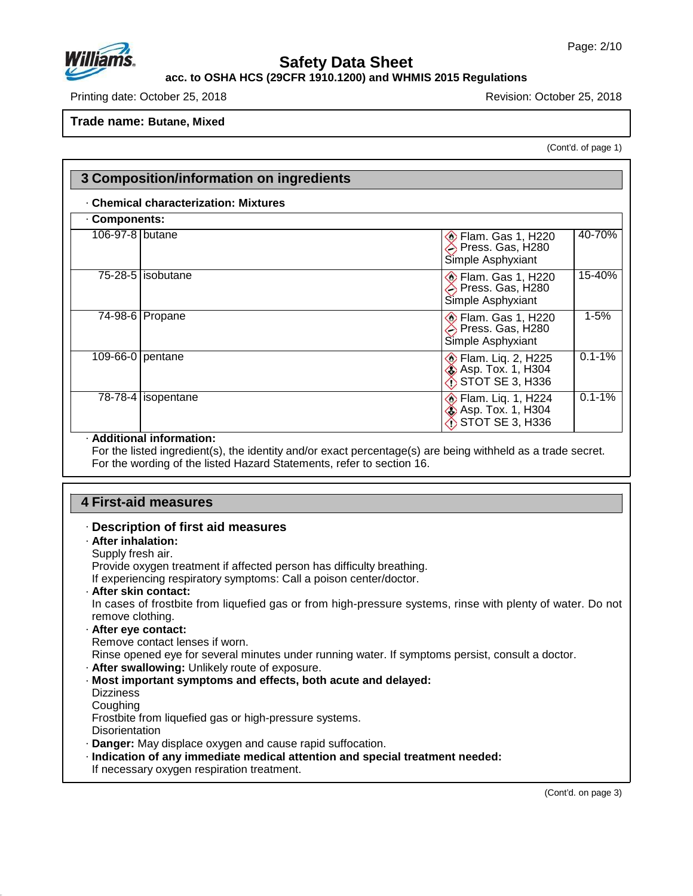

# **acc. to OSHA HCS (29CFR 1910.1200) and WHMIS 2015 Regulations**

Printing date: October 25, 2018 Revision: October 25, 2018

**Trade name: Butane, Mixed**

(Cont'd. of page 1)

| Components:     |                        |                                                                                        |  |  |  |
|-----------------|------------------------|----------------------------------------------------------------------------------------|--|--|--|
| 106-97-8 butane |                        | 40-70%<br><b>Elam. Gas 1, H220</b><br>Press. Gas, H280<br>Simple Asphyxiant            |  |  |  |
|                 | 75-28-5   isobutane    | 15-40%<br><b>Elam. Gas 1, H220</b><br>Press. Gas, H280<br>Simple Asphyxiant            |  |  |  |
|                 | 74-98-6   Propane      | $1 - 5%$<br><b>Elam. Gas 1, H220</b><br>Press. Gas, H280<br>Simple Asphyxiant          |  |  |  |
|                 | 109-66-0   pentane     | $0.1 - 1%$<br><b>Elam. Liq. 2, H225</b><br>Asp. Tox. 1, H304<br>STOT SE 3, H336        |  |  |  |
|                 | $78-78-4$   isopentane | $0.1 - 1%$<br><b>Elam. Liq. 1, H224</b><br><b>Asp. Tox. 1, H304</b><br>STOT SE 3, H336 |  |  |  |

# **4 First-aid measures**

## · **Description of first aid measures**

# · **After inhalation:**

Supply fresh air.

Provide oxygen treatment if affected person has difficulty breathing.

If experiencing respiratory symptoms: Call a poison center/doctor.

· **After skin contact:**

In cases of frostbite from liquefied gas or from high-pressure systems, rinse with plenty of water. Do not remove clothing.

· **After eye contact:** Remove contact lenses if worn.

Rinse opened eye for several minutes under running water. If symptoms persist, consult a doctor.

· **After swallowing:** Unlikely route of exposure.

- · **Most important symptoms and effects, both acute and delayed:**
- **Dizziness**

**Coughing** 

Frostbite from liquefied gas or high-pressure systems.

**Disorientation** 

48.0

- · **Danger:** May displace oxygen and cause rapid suffocation.
- · **Indication of any immediate medical attention and special treatment needed:** If necessary oxygen respiration treatment.

(Cont'd. on page 3)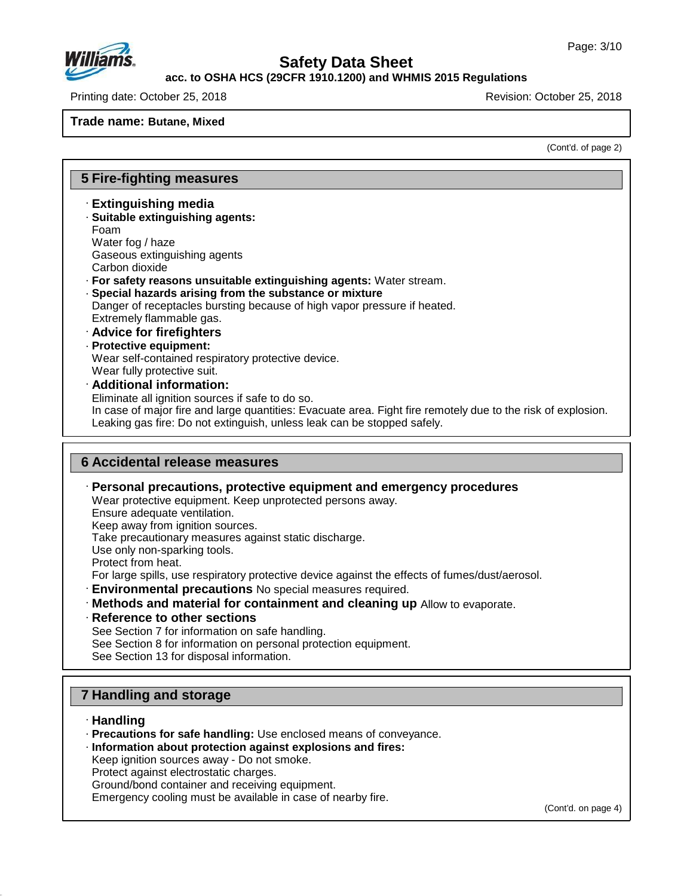

#### **acc. to OSHA HCS (29CFR 1910.1200) and WHMIS 2015 Regulations**

Printing date: October 25, 2018 Revision: October 25, 2018

## **Trade name: Butane, Mixed**

(Cont'd. of page 2)

# **5 Fire-fighting measures**

- · **Extinguishing media**
- · **Suitable extinguishing agents:** Foam Water fog / haze
- Gaseous extinguishing agents
- Carbon dioxide
- · **For safety reasons unsuitable extinguishing agents:** Water stream.
- · **Special hazards arising from the substance or mixture**
- Danger of receptacles bursting because of high vapor pressure if heated. Extremely flammable gas.
- · **Advice for firefighters**
- · **Protective equipment:**
- Wear self-contained respiratory protective device. Wear fully protective suit.
- · **Additional information:**
- Eliminate all ignition sources if safe to do so.
- In case of major fire and large quantities: Evacuate area. Fight fire remotely due to the risk of explosion. Leaking gas fire: Do not extinguish, unless leak can be stopped safely.

# **6 Accidental release measures**

- · **Personal precautions, protective equipment and emergency procedures** Wear protective equipment. Keep unprotected persons away. Ensure adequate ventilation. Keep away from ignition sources. Take precautionary measures against static discharge. Use only non-sparking tools. Protect from heat. For large spills, use respiratory protective device against the effects of fumes/dust/aerosol. · **Environmental precautions** No special measures required. · **Methods and material for containment and cleaning up** Allow to evaporate. · **Reference to other sections** See Section 7 for information on safe handling.
	- See Section 8 for information on personal protection equipment.
	- See Section 13 for disposal information.

# **7 Handling and storage**

· **Handling**

48.0

- · **Precautions for safe handling:** Use enclosed means of conveyance.
- · **Information about protection against explosions and fires:**
- Keep ignition sources away Do not smoke.
- Protect against electrostatic charges.
- Ground/bond container and receiving equipment.
- Emergency cooling must be available in case of nearby fire.

(Cont'd. on page 4)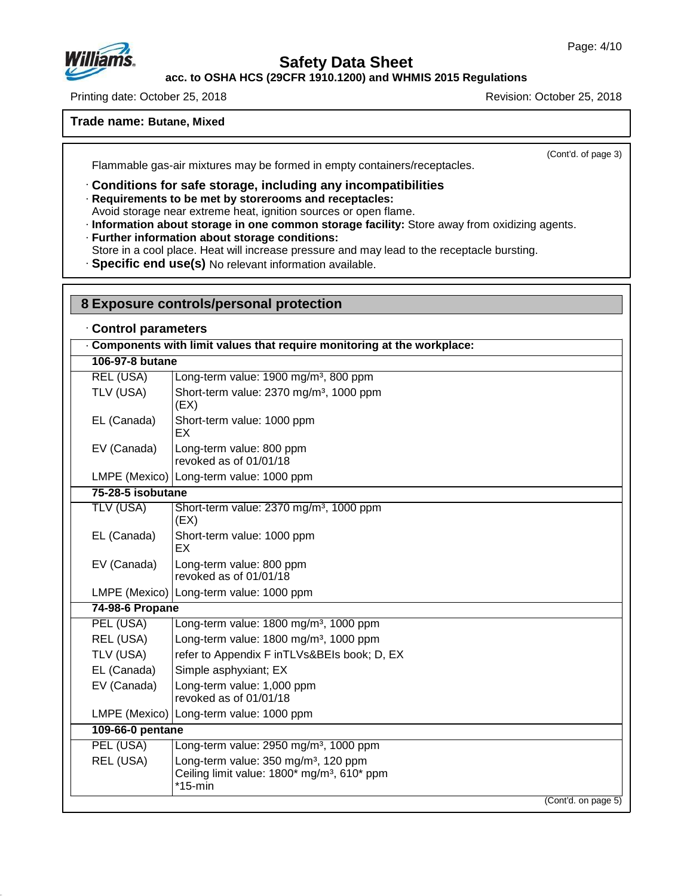

48.0

# **Safety Data Sheet**

**acc. to OSHA HCS (29CFR 1910.1200) and WHMIS 2015 Regulations**

Printing date: October 25, 2018 **Printing date: October 25, 2018** Revision: October 25, 2018

## **Trade name: Butane, Mixed**

(Cont'd. of page 3)

Flammable gas-air mixtures may be formed in empty containers/receptacles.

· **Conditions for safe storage, including any incompatibilities**

#### · **Requirements to be met by storerooms and receptacles:**

Avoid storage near extreme heat, ignition sources or open flame.

· **Information about storage in one common storage facility:** Store away from oxidizing agents.

# · **Further information about storage conditions:**

Store in a cool place. Heat will increase pressure and may lead to the receptacle bursting.

· **Specific end use(s)** No relevant information available.

| 8 Exposure controls/personal protection                                |                                                                                                                           |  |  |  |  |  |
|------------------------------------------------------------------------|---------------------------------------------------------------------------------------------------------------------------|--|--|--|--|--|
| Control parameters                                                     |                                                                                                                           |  |  |  |  |  |
| Components with limit values that require monitoring at the workplace: |                                                                                                                           |  |  |  |  |  |
| 106-97-8 butane                                                        |                                                                                                                           |  |  |  |  |  |
| <b>REL (USA)</b>                                                       | Long-term value: 1900 mg/m <sup>3</sup> , 800 ppm                                                                         |  |  |  |  |  |
| TLV (USA)                                                              | Short-term value: 2370 mg/m <sup>3</sup> , 1000 ppm<br>(EX)                                                               |  |  |  |  |  |
| EL (Canada)                                                            | Short-term value: 1000 ppm<br>EX                                                                                          |  |  |  |  |  |
| EV (Canada)                                                            | Long-term value: 800 ppm<br>revoked as of 01/01/18                                                                        |  |  |  |  |  |
|                                                                        | LMPE (Mexico)   Long-term value: 1000 ppm                                                                                 |  |  |  |  |  |
| 75-28-5 isobutane                                                      |                                                                                                                           |  |  |  |  |  |
| <b>TLV (USA)</b>                                                       | Short-term value: 2370 mg/m <sup>3</sup> , 1000 ppm<br>(EX)                                                               |  |  |  |  |  |
| EL (Canada)                                                            | Short-term value: 1000 ppm<br>EX.                                                                                         |  |  |  |  |  |
| EV (Canada)                                                            | Long-term value: 800 ppm<br>revoked as of 01/01/18                                                                        |  |  |  |  |  |
|                                                                        | LMPE (Mexico) Long-term value: 1000 ppm                                                                                   |  |  |  |  |  |
| 74-98-6 Propane                                                        |                                                                                                                           |  |  |  |  |  |
| PEL (USA)                                                              | Long-term value: 1800 mg/m <sup>3</sup> , 1000 ppm                                                                        |  |  |  |  |  |
| REL (USA)                                                              | Long-term value: 1800 mg/m <sup>3</sup> , 1000 ppm                                                                        |  |  |  |  |  |
| TLV (USA)                                                              | refer to Appendix F inTLVs&BEIs book; D, EX                                                                               |  |  |  |  |  |
| EL (Canada)                                                            | Simple asphyxiant; EX                                                                                                     |  |  |  |  |  |
| EV (Canada)                                                            | Long-term value: 1,000 ppm<br>revoked as of 01/01/18                                                                      |  |  |  |  |  |
|                                                                        | LMPE (Mexico) Long-term value: 1000 ppm                                                                                   |  |  |  |  |  |
| 109-66-0 pentane                                                       |                                                                                                                           |  |  |  |  |  |
| PEL (USA)                                                              | Long-term value: 2950 mg/m <sup>3</sup> , 1000 ppm                                                                        |  |  |  |  |  |
| REL (USA)                                                              | Long-term value: 350 mg/m <sup>3</sup> , 120 ppm<br>Ceiling limit value: 1800* mg/m <sup>3</sup> , 610* ppm<br>$*15$ -min |  |  |  |  |  |
|                                                                        | (Cont'd. on page 5)                                                                                                       |  |  |  |  |  |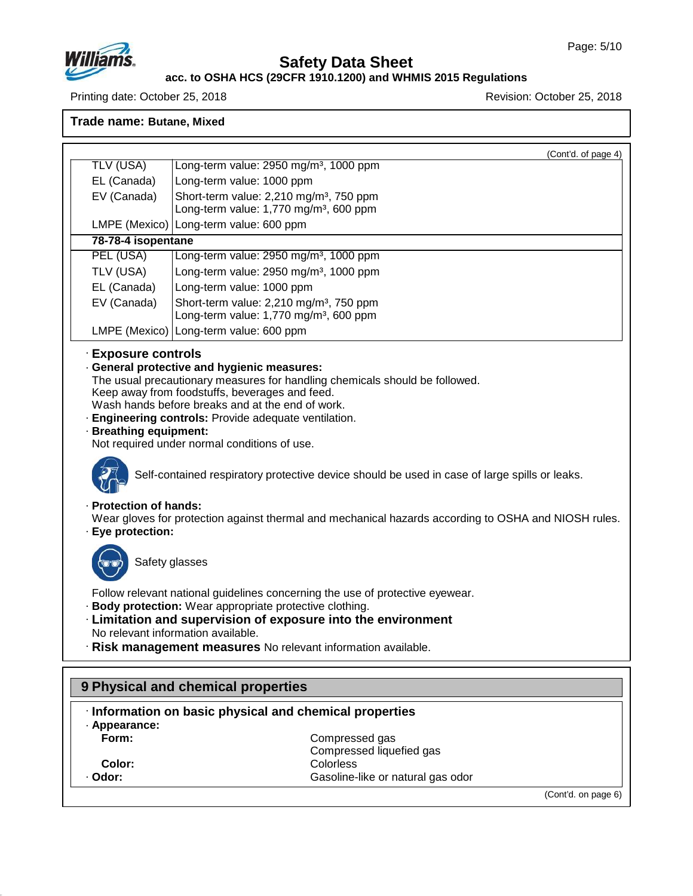

48.0

# **Safety Data Sheet**

#### **acc. to OSHA HCS (29CFR 1910.1200) and WHMIS 2015 Regulations**

Printing date: October 25, 2018 Revision: October 25, 2018

**Trade name: Butane, Mixed**

(Cont'd. of page 4) TLV (USA) Long-term value: 2950 mg/m³, 1000 ppm EL (Canada) Long-term value: 1000 ppm EV (Canada) Short-term value:  $2,210$  mg/m<sup>3</sup>, 750 ppm Long-term value:  $1,770$  mg/m<sup>3</sup>, 600 ppm LMPE (Mexico) Long-term value: 600 ppm **78-78-4 isopentane** PEL (USA) [Long-term value: 2950 mg/m<sup>3</sup>, 1000 ppm]  $TLV$  (USA) [Long-term value: 2950 mg/m<sup>3</sup>, 1000 ppm EL (Canada) Long-term value: 1000 ppm EV (Canada) Short-term value:  $2,210$  mg/m<sup>3</sup>, 750 ppm Long-term value: 1,770 mg/m<sup>3</sup>, 600 ppm LMPE (Mexico) Long-term value: 600 ppm · **Exposure controls** · **General protective and hygienic measures:** The usual precautionary measures for handling chemicals should be followed. Keep away from foodstuffs, beverages and feed. Wash hands before breaks and at the end of work. · **Engineering controls:** Provide adequate ventilation. · **Breathing equipment:** Not required under normal conditions of use. Self-contained respiratory protective device should be used in case of large spills or leaks. · **Protection of hands:** Wear gloves for protection against thermal and mechanical hazards according to OSHA and NIOSH rules. · **Eye protection:** Safety glasses Follow relevant national guidelines concerning the use of protective eyewear. · **Body protection:** Wear appropriate protective clothing. · **Limitation and supervision of exposure into the environment** No relevant information available. · **Risk management measures** No relevant information available. **9 Physical and chemical properties** · **Information on basic physical and chemical properties** · **Appearance: Form:** Compressed gas Compressed liquefied gas **Color:** Colorless Colorless Colorless Colorless Colorless Colorless Colorless Colorless Colorless Colorless Colorless Colorless Colorless Colorless Colorless Colorless Colorless Colorless Colorless Colorless Colorless Col Gasoline-like or natural gas odor

(Cont'd. on page 6)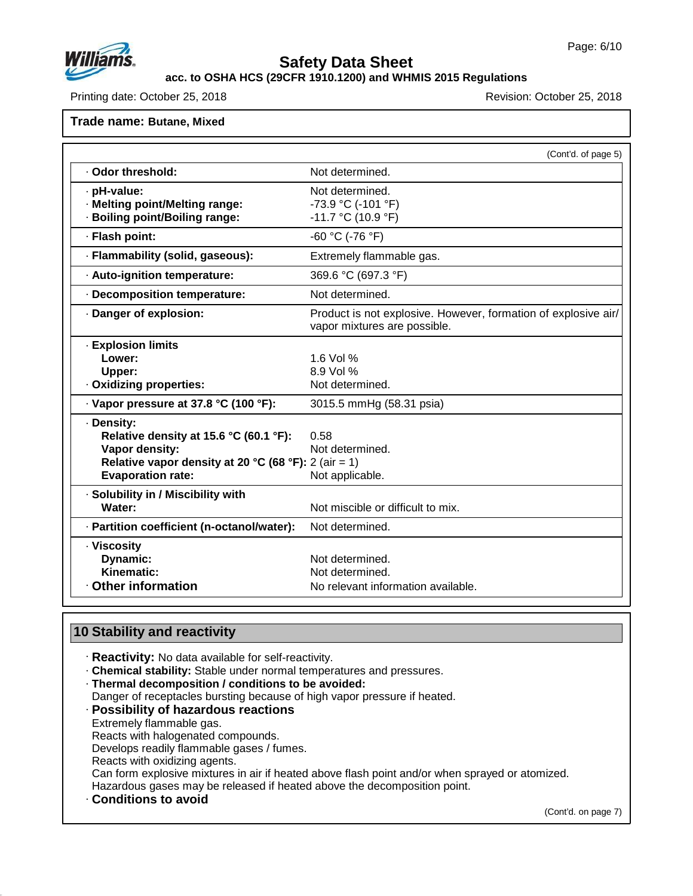

# **acc. to OSHA HCS (29CFR 1910.1200) and WHMIS 2015 Regulations**

Printing date: October 25, 2018 **Printing date: October 25, 2018** Revision: October 25, 2018

## **Trade name: Butane, Mixed**

|                                                      | (Cont'd. of page 5)                                                                            |
|------------------------------------------------------|------------------------------------------------------------------------------------------------|
| · Odor threshold:                                    | Not determined.                                                                                |
| · pH-value:                                          | Not determined.                                                                                |
| · Melting point/Melting range:                       | -73.9 °C (-101 °F)                                                                             |
| · Boiling point/Boiling range:                       | $-11.7$ °C (10.9 °F)                                                                           |
| · Flash point:                                       | -60 °C (-76 °F)                                                                                |
| · Flammability (solid, gaseous):                     | Extremely flammable gas.                                                                       |
| · Auto-ignition temperature:                         | 369.6 °C (697.3 °F)                                                                            |
| · Decomposition temperature:                         | Not determined.                                                                                |
| Danger of explosion:                                 | Product is not explosive. However, formation of explosive air/<br>vapor mixtures are possible. |
| <b>Explosion limits</b>                              |                                                                                                |
| Lower:                                               | 1.6 Vol $%$                                                                                    |
| Upper:                                               | 8.9 Vol %                                                                                      |
| · Oxidizing properties:                              | Not determined.                                                                                |
| $\cdot$ Vapor pressure at 37.8 °C (100 °F):          | 3015.5 mmHg (58.31 psia)                                                                       |
| · Density:                                           |                                                                                                |
| Relative density at 15.6 °C (60.1 °F):               | 0.58                                                                                           |
| Vapor density:                                       | Not determined.                                                                                |
| Relative vapor density at 20 °C (68 °F): 2 (air = 1) |                                                                                                |
| <b>Evaporation rate:</b>                             | Not applicable.                                                                                |
| · Solubility in / Miscibility with                   |                                                                                                |
| Water:                                               | Not miscible or difficult to mix.                                                              |
| · Partition coefficient (n-octanol/water):           | Not determined.                                                                                |
| · Viscosity                                          |                                                                                                |
| Dynamic:                                             | Not determined.                                                                                |
| Kinematic:                                           | Not determined.                                                                                |
| Other information                                    | No relevant information available.                                                             |

# **10 Stability and reactivity**

- · **Reactivity:** No data available for self-reactivity.
- · **Chemical stability:** Stable under normal temperatures and pressures.
- · **Thermal decomposition / conditions to be avoided:**
- Danger of receptacles bursting because of high vapor pressure if heated.

#### · **Possibility of hazardous reactions** Extremely flammable gas.

Reacts with halogenated compounds.

Develops readily flammable gases / fumes.

Reacts with oxidizing agents.

Can form explosive mixtures in air if heated above flash point and/or when sprayed or atomized.

Hazardous gases may be released if heated above the decomposition point.

· **Conditions to avoid**

48.0

(Cont'd. on page 7)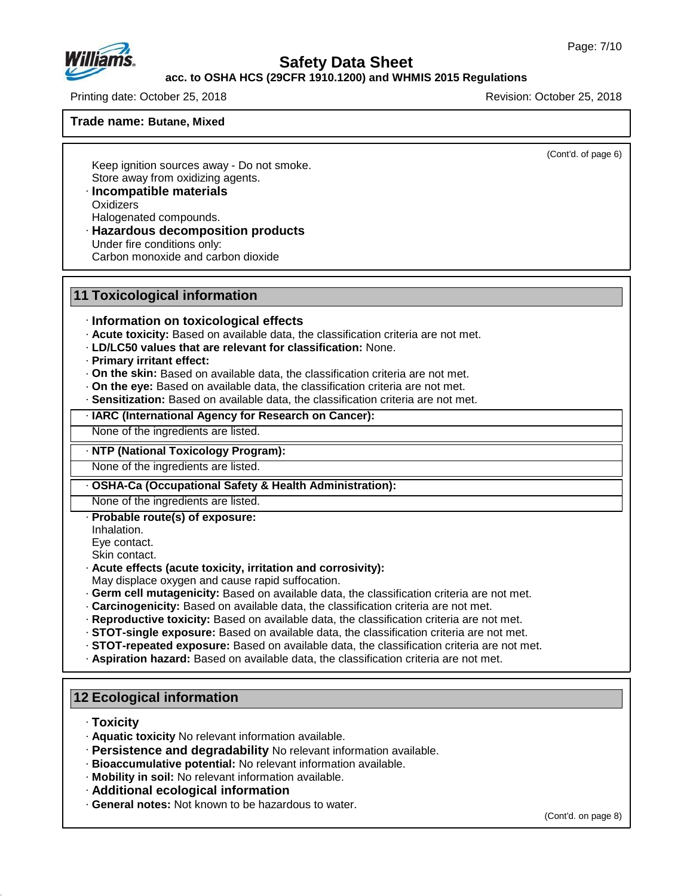

# **acc. to OSHA HCS (29CFR 1910.1200) and WHMIS 2015 Regulations**

Printing date: October 25, 2018 Revision: October 25, 2018

#### **Trade name: Butane, Mixed**

(Cont'd. of page 6)

Keep ignition sources away - Do not smoke. Store away from oxidizing agents.

- · **Incompatible materials Oxidizers** Halogenated compounds.
- · **Hazardous decomposition products** Under fire conditions only:

Carbon monoxide and carbon dioxide

#### **11 Toxicological information**

- · **Information on toxicological effects**
- · **Acute toxicity:** Based on available data, the classification criteria are not met.
- · **LD/LC50 values that are relevant for classification:** None.
- · **Primary irritant effect:**
- · **On the skin:** Based on available data, the classification criteria are not met.
- · **On the eye:** Based on available data, the classification criteria are not met.
- · **Sensitization:** Based on available data, the classification criteria are not met.
- · **IARC (International Agency for Research on Cancer):**

None of the ingredients are listed.

#### · **NTP (National Toxicology Program):**

None of the ingredients are listed.

## · **OSHA-Ca (Occupational Safety & Health Administration):**

None of the ingredients are listed.

- · **Probable route(s) of exposure:**
- Inhalation.

Eye contact.

Skin contact.

- · **Acute effects (acute toxicity, irritation and corrosivity):**
- May displace oxygen and cause rapid suffocation.
- · **Germ cell mutagenicity:** Based on available data, the classification criteria are not met.
- · **Carcinogenicity:** Based on available data, the classification criteria are not met.
- · **Reproductive toxicity:** Based on available data, the classification criteria are not met.
- · **STOT-single exposure:** Based on available data, the classification criteria are not met.
- · **STOT-repeated exposure:** Based on available data, the classification criteria are not met.
- · **Aspiration hazard:** Based on available data, the classification criteria are not met.

# **12 Ecological information**

· **Toxicity**

48.0

- · **Aquatic toxicity** No relevant information available.
- · **Persistence and degradability** No relevant information available.
- · **Bioaccumulative potential:** No relevant information available.
- · **Mobility in soil:** No relevant information available.
- · **Additional ecological information**
- · **General notes:** Not known to be hazardous to water.

(Cont'd. on page 8)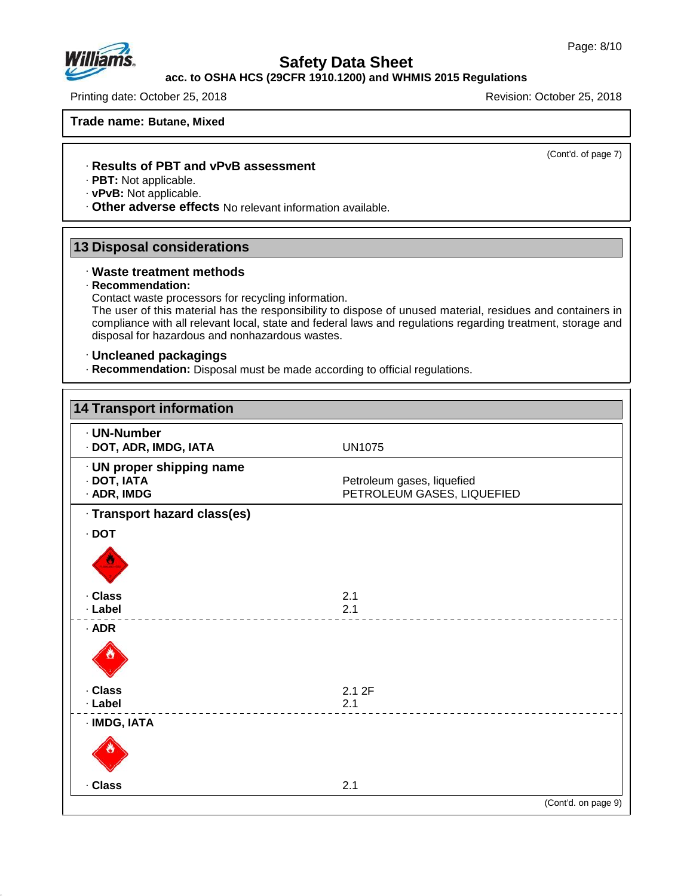**acc. to OSHA HCS (29CFR 1910.1200) and WHMIS 2015 Regulations**

Printing date: October 25, 2018 **Printing date: October 25, 2018** Revision: October 25, 2018

## **Trade name: Butane, Mixed**

(Cont'd. of page 7)

#### · **Results of PBT and vPvB assessment**

- · **PBT:** Not applicable.
- · **vPvB:** Not applicable.
- · **Other adverse effects** No relevant information available.

# **13 Disposal considerations**

#### · **Waste treatment methods**

#### · **Recommendation:**

48.0

Contact waste processors for recycling information.

The user of this material has the responsibility to dispose of unused material, residues and containers in compliance with all relevant local, state and federal laws and regulations regarding treatment, storage and disposal for hazardous and nonhazardous wastes.

## · **Uncleaned packagings**

· **Recommendation:** Disposal must be made according to official regulations.

| · UN-Number                                             |                                                          |  |
|---------------------------------------------------------|----------------------------------------------------------|--|
| · DOT, ADR, IMDG, IATA                                  | <b>UN1075</b>                                            |  |
| · UN proper shipping name<br>· DOT, IATA<br>· ADR, IMDG | Petroleum gases, liquefied<br>PETROLEUM GASES, LIQUEFIED |  |
| · Transport hazard class(es)                            |                                                          |  |
| $\cdot$ DOT                                             |                                                          |  |
|                                                         |                                                          |  |
| · Class                                                 | 2.1                                                      |  |
| · Label                                                 | 2.1                                                      |  |
| $·$ ADR                                                 |                                                          |  |
| · Class                                                 | 2.1 2F                                                   |  |
| · Label                                                 | 2.1                                                      |  |
| · IMDG, IATA                                            |                                                          |  |
|                                                         |                                                          |  |
| · Class                                                 | 2.1                                                      |  |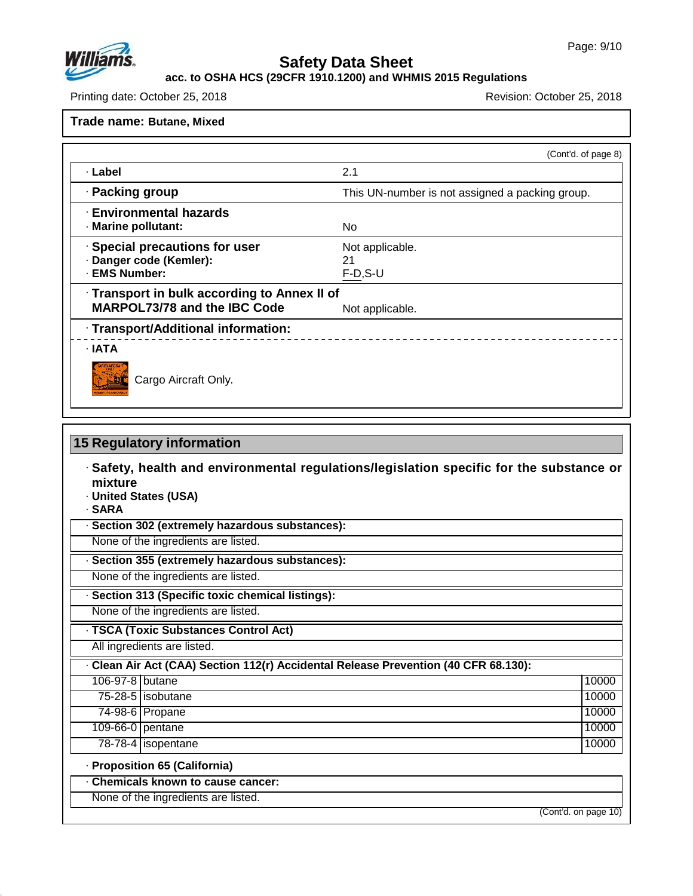

48.0

# **Safety Data Sheet**

**acc. to OSHA HCS (29CFR 1910.1200) and WHMIS 2015 Regulations**

Printing date: October 25, 2018 **Printing date: October 25, 2018** 

**Trade name: Butane, Mixed**

|                                                                                     | (Cont'd. of page 8)                 |
|-------------------------------------------------------------------------------------|-------------------------------------|
| · Label                                                                             | 2.1                                 |
| · Packing group<br>This UN-number is not assigned a packing group.                  |                                     |
| <b>Environmental hazards</b><br>· Marine pollutant:                                 | No.                                 |
| · Special precautions for user<br>· Danger code (Kemler):<br>· EMS Number:          | Not applicable.<br>21<br>$F-D, S-U$ |
| · Transport in bulk according to Annex II of<br><b>MARPOL73/78 and the IBC Code</b> | Not applicable.                     |
| · Transport/Additional information:                                                 |                                     |
| $\cdot$ IATA<br>Cargo Aircraft Only.                                                |                                     |

| mixture<br>· United States (USA)<br>· SARA                                          |       |
|-------------------------------------------------------------------------------------|-------|
| Section 302 (extremely hazardous substances):                                       |       |
| None of the ingredients are listed.                                                 |       |
| Section 355 (extremely hazardous substances):                                       |       |
| None of the ingredients are listed.                                                 |       |
| Section 313 (Specific toxic chemical listings):                                     |       |
| None of the ingredients are listed.                                                 |       |
| · TSCA (Toxic Substances Control Act)                                               |       |
| All ingredients are listed.                                                         |       |
| - Clean Air Act (CAA) Section 112(r) Accidental Release Prevention (40 CFR 68.130): |       |
| 106-97-8 butane                                                                     | 10000 |
| 75-28-5 isobutane                                                                   | 10000 |
| 74-98-6 Propane                                                                     | 10000 |
| 109-66-0 pentane                                                                    | 10000 |
| 78-78-4   isopentane                                                                | 10000 |
| · Proposition 65 (California)                                                       |       |
| Chemicals known to cause cancer:                                                    |       |
| None of the ingredients are listed.                                                 |       |